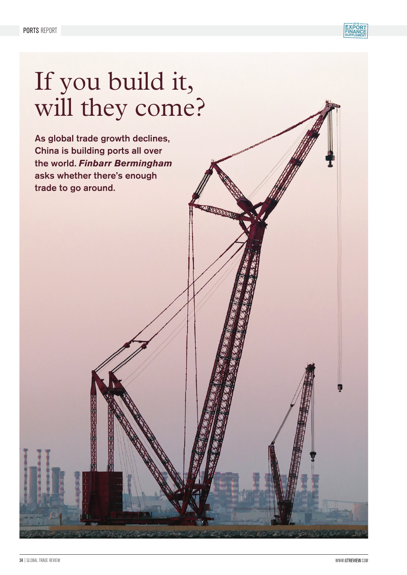

# If you build it, will they come?

As global trade growth declines, China is building ports all over the world. *Finbarr Bermingham* asks whether there's enough trade to go around.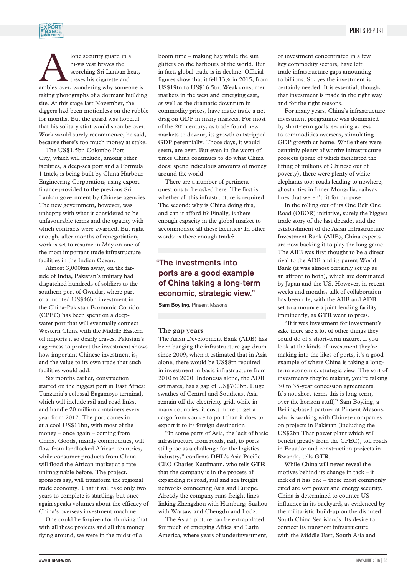

Alone security guard in a<br>
hi-vis vest braves the<br>
scorching Sri Lankan heat,<br>
tosses his cigarette and<br>
ambles over, wondering why someone is hi-vis vest braves the scorching Sri Lankan heat, tosses his cigarette and taking photographs of a dormant building site. At this stage last November, the diggers had been motionless on the rubble for months. But the guard was hopeful that his solitary stint would soon be over. Work would surely recommence, he said, because there's too much money at stake.

The US\$1.5bn Colombo Port City, which will include, among other facilities, a deep-sea port and a Formula 1 track, is being built by China Harbour Engineering Corporation, using export finance provided to the previous Sri Lankan government by Chinese agencies. The new government, however, was unhappy with what it considered to be unfavourable terms and the opacity with which contracts were awarded. But right enough, after months of renegotiation, work is set to resume in May on one of the most important trade infrastructure facilities in the Indian Ocean.

Almost 3,000km away, on the farside of India, Pakistan's military had dispatched hundreds of soldiers to the southern port of Gwadar, where part of a mooted US\$46bn investment in the China-Pakistan Economic Corridor (CPEC) has been spent on a deepwater port that will eventually connect Western China with the Middle Eastern oil imports it so dearly craves. Pakistan's eagerness to protect the investment shows how important Chinese investment is, and the value to its own trade that such facilities would add.

Six months earlier, construction started on the biggest port in East Africa: Tanzania's colossal Bagamoyo terminal, which will include rail and road links, and handle 20 million containers every year from 2017. The port comes in at a cool US\$11bn, with most of the money – once again – coming from China. Goods, mainly commodities, will flow from landlocked African countries, while consumer products from China will flood the African market at a rate unimaginable before. The project, sponsors say, will transform the regional trade economy. That it will take only two years to complete is startling, but once again speaks volumes about the efficacy of China's overseas investment machine.

One could be forgiven for thinking that with all these projects and all this money flying around, we were in the midst of a

boom time – making hay while the sun glitters on the harbours of the world. But in fact, global trade is in decline. Official figures show that it fell 13% in 2015, from US\$19tn to US\$16.5tn. Weak consumer markets in the west and emerging east, as well as the dramatic downturn in commodity prices, have made trade a net drag on GDP in many markets. For most of the  $20<sup>th</sup>$  century, as trade found new markets to devour, its growth outstripped GDP perennially. Those days, it would seem, are over. But even in the worst of times China continues to do what China does: spend ridiculous amounts of money around the world.

There are a number of pertinent questions to be asked here. The first is whether all this infrastructure is required. The second: why is China doing this, and can it afford it? Finally, is there enough capacity in the global market to accommodate all these facilities? In other words: is there enough trade?

### "The investments into ports are a good example of China taking a long-term economic, strategic view."

Sam Boyling, Pinsent Masons

#### **The gap years**

The Asian Development Bank (ADB) has been banging the infrastructure gap drum since 2009, when it estimated that in Asia alone, there would be US\$8tn required in investment in basic infrastructure from 2010 to 2020. Indonesia alone, the ADB estimates, has a gap of US\$700bn. Huge swathes of Central and Southeast Asia remain off the electricity grid, while in many countries, it costs more to get a cargo from source to port than it does to export it to its foreign destination.

"In some parts of Asia, the lack of basic infrastructure from roads, rail, to ports still pose as a challenge for the logistics industry," confirms DHL's Asia Pacific CEO Charles Kaufmann, who tells **GTR** that the company is in the process of expanding its road, rail and sea freight networks connecting Asia and Europe. Already the company runs freight lines linking Zhengzhou with Hamburg; Suzhou with Warsaw and Chengdu and Lodz.

The Asian picture can be extrapolated for much of emerging Africa and Latin America, where years of underinvestment,

or investment concentrated in a few key commodity sectors, have left trade infrastructure gaps amounting to billions. So, yes the investment is certainly needed. It is essential, though, that investment is made in the right way and for the right reasons.

For many years, China's infrastructure investment programme was dominated by short-term goals: securing access to commodities overseas, stimulating GDP growth at home. While there were certainly plenty of worthy infrastructure projects (some of which facilitated the lifting of millions of Chinese out of poverty), there were plenty of white elephants too: roads leading to nowhere, ghost cities in Inner Mongolia, railway lines that weren't fit for purpose.

In the rolling out of its One Belt One Road (OBOR) initiative, surely the biggest trade story of the last decade, and the establishment of the Asian Infrastructure Investment Bank (AIIB), China experts are now backing it to play the long game. The AIIB was first thought to be a direct rival to the ADB and its parent World Bank (it was almost certainly set up as an affront to both), which are dominated by Japan and the US. However, in recent weeks and months, talk of collaboration has been rife, with the AIIB and ADB set to announce a joint lending facility imminently, as **GTR** went to press.

"If it was investment for investment's sake there are a lot of other things they could do of a short-term nature. If you look at the kinds of investment they're making into the likes of ports, it's a good example of where China is taking a longterm economic, strategic view. The sort of investments they're making, you're talking 30 to 35-year concession agreements. It's not short-term, this is long-term, over the horizon stuff," Sam Boyling, a Beijing-based partner at Pinsent Masons, who is working with Chinese companies on projects in Pakistan (including the US\$2bn Thar power plant which will benefit greatly from the CPEC), toll roads in Ecuador and construction projects in Rwanda, tells **GTR**.

While China will never reveal the motives behind its change in tack – if indeed it has one – those most commonly cited are soft power and energy security. China is determined to counter US influence in its backyard, as evidenced by the militaristic build-up on the disputed South China Sea islands. Its desire to connect its transport infrastructure with the Middle East, South Asia and